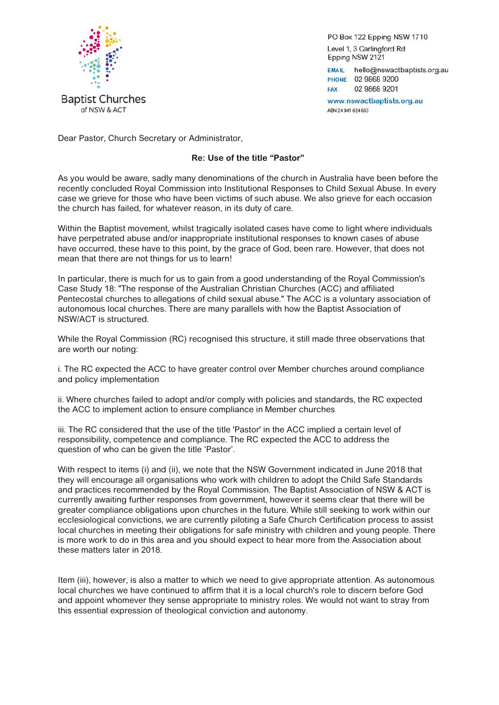

PO Box 122 Epping NSW 1710 Level 1, 3 Carlingford Rd Epping NSW 2121

EMAIL hello@nswactbaptists.org.au PHONE 02 9868 9200 02 9868 9201 FAX

www.nswactbaptists.org.au ABN 24 941 624 663

Dear Pastor, Church Secretary or Administrator,

## **Re: Use of the title "Pastor"**

As you would be aware, sadly many denominations of the church in Australia have been before the recently concluded Royal Commission into Institutional Responses to Child Sexual Abuse. In every case we grieve for those who have been victims of such abuse. We also grieve for each occasion the church has failed, for whatever reason, in its duty of care.

Within the Baptist movement, whilst tragically isolated cases have come to light where individuals have perpetrated abuse and/or inappropriate institutional responses to known cases of abuse have occurred, these have to this point, by the grace of God, been rare. However, that does not mean that there are not things for us to learn!

In particular, there is much for us to gain from a good understanding of the Royal Commission's Case Study 18: "The response of the Australian Christian Churches (ACC) and affiliated Pentecostal churches to allegations of child sexual abuse." The ACC is a voluntary association of autonomous local churches. There are many parallels with how the Baptist Association of NSW/ACT is structured.

While the Royal Commission (RC) recognised this structure, it still made three observations that are worth our noting:

i. The RC expected the ACC to have greater control over Member churches around compliance and policy implementation

ii. Where churches failed to adopt and/or comply with policies and standards, the RC expected the ACC to implement action to ensure compliance in Member churches

iii. The RC considered that the use of the title 'Pastor' in the ACC implied a certain level of responsibility, competence and compliance. The RC expected the ACC to address the question of who can be given the title 'Pastor'.

With respect to items (i) and (ii), we note that the NSW Government indicated in June 2018 that they will encourage all organisations who work with children to adopt the Child Safe Standards and practices recommended by the Royal Commission. The Baptist Association of NSW & ACT is currently awaiting further responses from government, however it seems clear that there will be greater compliance obligations upon churches in the future. While still seeking to work within our ecclesiological convictions, we are currently piloting a Safe Church Certification process to assist local churches in meeting their obligations for safe ministry with children and young people. There is more work to do in this area and you should expect to hear more from the Association about these matters later in 2018.

Item (iii), however, is also a matter to which we need to give appropriate attention. As autonomous local churches we have continued to affirm that it is a local church's role to discern before God and appoint whomever they sense appropriate to ministry roles. We would not want to stray from this essential expression of theological conviction and autonomy.